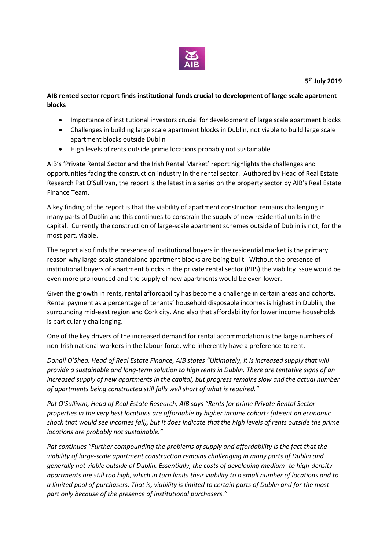

**5 th July 2019**

## **AIB rented sector report finds institutional funds crucial to development of large scale apartment blocks**

- Importance of institutional investors crucial for development of large scale apartment blocks
- Challenges in building large scale apartment blocks in Dublin, not viable to build large scale apartment blocks outside Dublin
- High levels of rents outside prime locations probably not sustainable

AIB's 'Private Rental Sector and the Irish Rental Market' report highlights the challenges and opportunities facing the construction industry in the rental sector. Authored by Head of Real Estate Research Pat O'Sullivan, the report is the latest in a series on the property sector by AIB's Real Estate Finance Team.

A key finding of the report is that the viability of apartment construction remains challenging in many parts of Dublin and this continues to constrain the supply of new residential units in the capital. Currently the construction of large-scale apartment schemes outside of Dublin is not, for the most part, viable.

The report also finds the presence of institutional buyers in the residential market is the primary reason why large-scale standalone apartment blocks are being built. Without the presence of institutional buyers of apartment blocks in the private rental sector (PRS) the viability issue would be even more pronounced and the supply of new apartments would be even lower.

Given the growth in rents, rental affordability has become a challenge in certain areas and cohorts. Rental payment as a percentage of tenants' household disposable incomes is highest in Dublin, the surrounding mid-east region and Cork city. And also that affordability for lower income households is particularly challenging.

One of the key drivers of the increased demand for rental accommodation is the large numbers of non-Irish national workers in the labour force, who inherently have a preference to rent.

*Donall O'Shea, Head of Real Estate Finance, AIB states "Ultimately, it is increased supply that will provide a sustainable and long-term solution to high rents in Dublin. There are tentative signs of an increased supply of new apartments in the capital, but progress remains slow and the actual number of apartments being constructed still falls well short of what is required."*

*Pat O'Sullivan, Head of Real Estate Research, AIB* s*ays "Rents for prime Private Rental Sector properties in the very best locations are affordable by higher income cohorts (absent an economic shock that would see incomes fall), but it does indicate that the high levels of rents outside the prime locations are probably not sustainable."*

*Pat continues "Further compounding the problems of supply and affordability is the fact that the viability of large-scale apartment construction remains challenging in many parts of Dublin and generally not viable outside of Dublin. Essentially, the costs of developing medium- to high-density apartments are still too high, which in turn limits their viability to a small number of locations and to a limited pool of purchasers. That is, viability is limited to certain parts of Dublin and for the most part only because of the presence of institutional purchasers."*